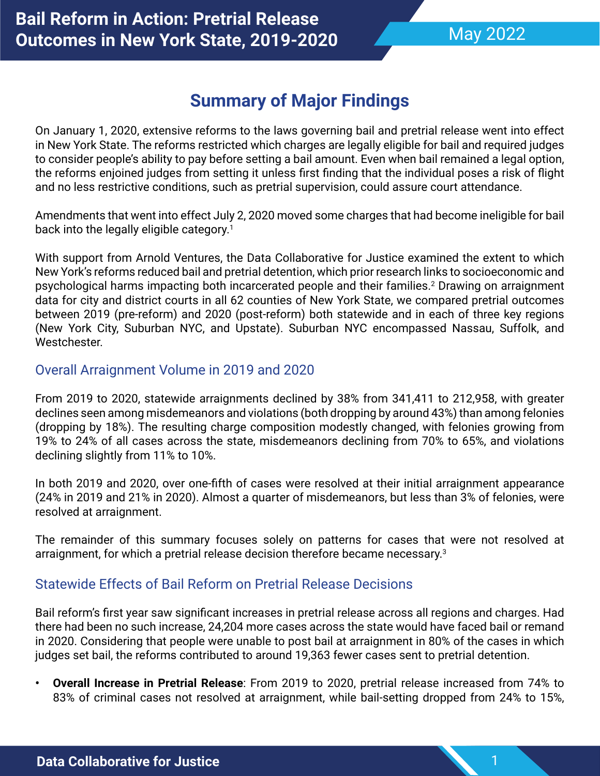1

# **Summary of Major Findings**

On January 1, 2020, extensive reforms to the laws governing bail and pretrial release went into effect in New York State. The reforms restricted which charges are legally eligible for bail and required judges to consider people's ability to pay before setting a bail amount. Even when bail remained a legal option, the reforms enjoined judges from setting it unless first finding that the individual poses a risk of flight and no less restrictive conditions, such as pretrial supervision, could assure court attendance.

Amendments that went into effect July 2, 2020 moved some charges that had become ineligible for bail back into the legally eligible category.<sup>1</sup>

With support from Arnold Ventures, the Data Collaborative for Justice examined the extent to which New York's reforms reduced bail and pretrial detention, which prior research links to socioeconomic and psychological harms impacting both incarcerated people and their families.<sup>2</sup> Drawing on arraignment data for city and district courts in all 62 counties of New York State, we compared pretrial outcomes between 2019 (pre-reform) and 2020 (post-reform) both statewide and in each of three key regions (New York City, Suburban NYC, and Upstate). Suburban NYC encompassed Nassau, Suffolk, and Westchester.

### Overall Arraignment Volume in 2019 and 2020

From 2019 to 2020, statewide arraignments declined by 38% from 341,411 to 212,958, with greater declines seen among misdemeanors and violations (both dropping by around 43%) than among felonies (dropping by 18%). The resulting charge composition modestly changed, with felonies growing from 19% to 24% of all cases across the state, misdemeanors declining from 70% to 65%, and violations declining slightly from 11% to 10%.

In both 2019 and 2020, over one-fifth of cases were resolved at their initial arraignment appearance (24% in 2019 and 21% in 2020). Almost a quarter of misdemeanors, but less than 3% of felonies, were resolved at arraignment.

The remainder of this summary focuses solely on patterns for cases that were not resolved at arraignment, for which a pretrial release decision therefore became necessary.<sup>3</sup>

# Statewide Effects of Bail Reform on Pretrial Release Decisions

Bail reform's first year saw significant increases in pretrial release across all regions and charges. Had there had been no such increase, 24,204 more cases across the state would have faced bail or remand in 2020. Considering that people were unable to post bail at arraignment in 80% of the cases in which judges set bail, the reforms contributed to around 19,363 fewer cases sent to pretrial detention.

**• Overall Increase in Pretrial Release**: From 2019 to 2020, pretrial release increased from 74% to 83% of criminal cases not resolved at arraignment, while bail-setting dropped from 24% to 15%,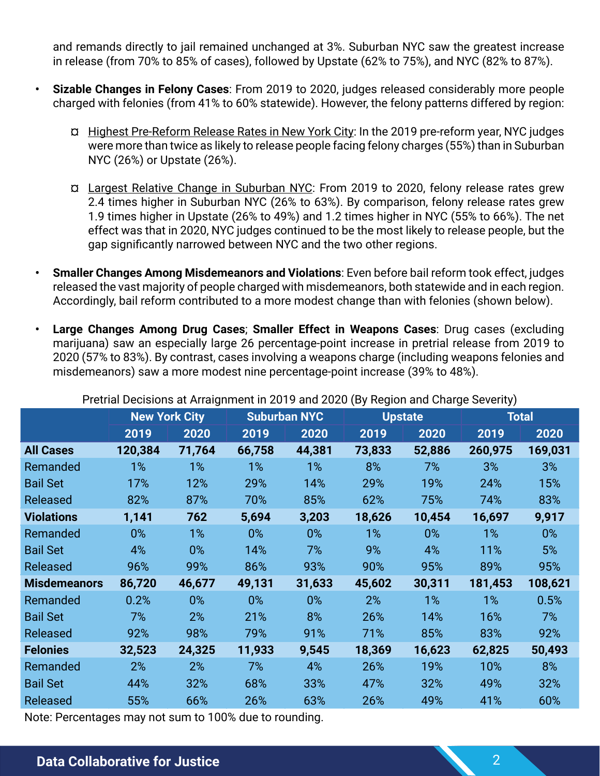and remands directly to jail remained unchanged at 3%. Suburban NYC saw the greatest increase in release (from 70% to 85% of cases), followed by Upstate (62% to 75%), and NYC (82% to 87%).

- **• Sizable Changes in Felony Cases**: From 2019 to 2020, judges released considerably more people charged with felonies (from 41% to 60% statewide). However, the felony patterns differed by region:
	- ¤ Highest Pre-Reform Release Rates in New York City: In the 2019 pre-reform year, NYC judges were more than twice as likely to release people facing felony charges (55%) than in Suburban NYC (26%) or Upstate (26%).
	- ¤ Largest Relative Change in Suburban NYC: From 2019 to 2020, felony release rates grew 2.4 times higher in Suburban NYC (26% to 63%). By comparison, felony release rates grew 1.9 times higher in Upstate (26% to 49%) and 1.2 times higher in NYC (55% to 66%). The net effect was that in 2020, NYC judges continued to be the most likely to release people, but the gap significantly narrowed between NYC and the two other regions.
- **• Smaller Changes Among Misdemeanors and Violations**: Even before bail reform took effect, judges released the vast majority of people charged with misdemeanors, both statewide and in each region. Accordingly, bail reform contributed to a more modest change than with felonies (shown below).
- **• Large Changes Among Drug Cases**; **Smaller Effect in Weapons Cases**: Drug cases (excluding marijuana) saw an especially large 26 percentage-point increase in pretrial release from 2019 to 2020 (57% to 83%). By contrast, cases involving a weapons charge (including weapons felonies and misdemeanors) saw a more modest nine percentage-point increase (39% to 48%).

| r runar Deololono at Analymnent in 2019 and 2020 (Dy rugion and Onarge Octomy) |        |                     |        |                |        |              |         |
|--------------------------------------------------------------------------------|--------|---------------------|--------|----------------|--------|--------------|---------|
| <b>New York City</b>                                                           |        | <b>Suburban NYC</b> |        | <b>Upstate</b> |        | <b>Total</b> |         |
| 2019                                                                           | 2020   | 2019                | 2020   | 2019           | 2020   | 2019         | 2020    |
| 120,384                                                                        | 71,764 | 66,758              | 44,381 | 73,833         | 52,886 | 260,975      | 169,031 |
| 1%                                                                             | $1\%$  | $1\%$               | $1\%$  | 8%             | 7%     | 3%           | 3%      |
| 17%                                                                            | 12%    | 29%                 | 14%    | 29%            | 19%    | 24%          | 15%     |
| 82%                                                                            | 87%    | 70%                 | 85%    | 62%            | 75%    | 74%          | 83%     |
| 1,141                                                                          | 762    | 5,694               | 3,203  | 18,626         | 10,454 | 16,697       | 9,917   |
| 0%                                                                             | $1\%$  | $0\%$               | $0\%$  | $1\%$          | 0%     | $1\%$        | $0\%$   |
| 4%                                                                             | $0\%$  | 14%                 | 7%     | 9%             | 4%     | 11%          | 5%      |
| 96%                                                                            | 99%    | 86%                 | 93%    | 90%            | 95%    | 89%          | 95%     |
| 86,720                                                                         | 46,677 | 49,131              | 31,633 | 45,602         | 30,311 | 181,453      | 108,621 |
| 0.2%                                                                           | $0\%$  | $0\%$               | $0\%$  | 2%             | $1\%$  | $1\%$        | 0.5%    |
| 7%                                                                             | 2%     | 21%                 | 8%     | 26%            | 14%    | 16%          | 7%      |
| 92%                                                                            | 98%    | 79%                 | 91%    | 71%            | 85%    | 83%          | 92%     |
| 32,523                                                                         | 24,325 | 11,933              | 9,545  | 18,369         | 16,623 | 62,825       | 50,493  |
| 2%                                                                             | 2%     | 7%                  | 4%     | 26%            | 19%    | 10%          | 8%      |
| 44%                                                                            | 32%    | 68%                 | 33%    | 47%            | 32%    | 49%          | 32%     |
| 55%                                                                            | 66%    | 26%                 | 63%    | 26%            | 49%    | 41%          | 60%     |
|                                                                                |        |                     |        |                |        |              |         |

Pretrial Decisions at Arraignment in 2019 and 2020 (By Region and Charge Severity)

Note: Percentages may not sum to 100% due to rounding.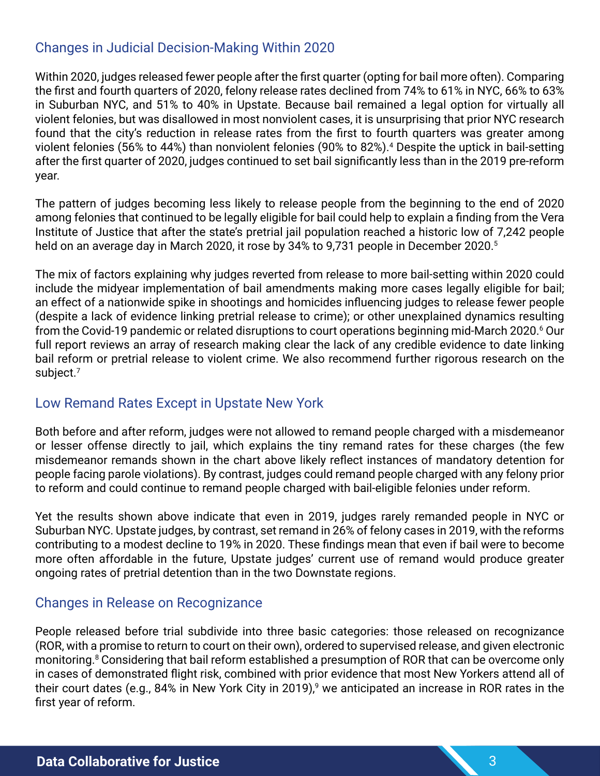# Changes in Judicial Decision-Making Within 2020

Within 2020, judges released fewer people after the first quarter (opting for bail more often). Comparing the first and fourth quarters of 2020, felony release rates declined from 74% to 61% in NYC, 66% to 63% in Suburban NYC, and 51% to 40% in Upstate. Because bail remained a legal option for virtually all violent felonies, but was disallowed in most nonviolent cases, it is unsurprising that prior NYC research found that the city's reduction in release rates from the first to fourth quarters was greater among violent felonies (56% to 44%) than nonviolent felonies (90% to 82%).4 Despite the uptick in bail-setting after the first quarter of 2020, judges continued to set bail significantly less than in the 2019 pre-reform year.

The pattern of judges becoming less likely to release people from the beginning to the end of 2020 among felonies that continued to be legally eligible for bail could help to explain a finding from the Vera Institute of Justice that after the state's pretrial jail population reached a historic low of 7,242 people held on an average day in March 2020, it rose by 34% to 9,731 people in December 2020.<sup>5</sup>

The mix of factors explaining why judges reverted from release to more bail-setting within 2020 could include the midyear implementation of bail amendments making more cases legally eligible for bail; an effect of a nationwide spike in shootings and homicides influencing judges to release fewer people (despite a lack of evidence linking pretrial release to crime); or other unexplained dynamics resulting from the Covid-19 pandemic or related disruptions to court operations beginning mid-March 2020.6 Our full report reviews an array of research making clear the lack of any credible evidence to date linking bail reform or pretrial release to violent crime. We also recommend further rigorous research on the subject.7

### Low Remand Rates Except in Upstate New York

Both before and after reform, judges were not allowed to remand people charged with a misdemeanor or lesser offense directly to jail, which explains the tiny remand rates for these charges (the few misdemeanor remands shown in the chart above likely reflect instances of mandatory detention for people facing parole violations). By contrast, judges could remand people charged with any felony prior to reform and could continue to remand people charged with bail-eligible felonies under reform.

Yet the results shown above indicate that even in 2019, judges rarely remanded people in NYC or Suburban NYC. Upstate judges, by contrast, set remand in 26% of felony cases in 2019, with the reforms contributing to a modest decline to 19% in 2020. These findings mean that even if bail were to become more often affordable in the future, Upstate judges' current use of remand would produce greater ongoing rates of pretrial detention than in the two Downstate regions.

### Changes in Release on Recognizance

People released before trial subdivide into three basic categories: those released on recognizance (ROR, with a promise to return to court on their own), ordered to supervised release, and given electronic monitoring.<sup>8</sup> Considering that bail reform established a presumption of ROR that can be overcome only in cases of demonstrated flight risk, combined with prior evidence that most New Yorkers attend all of their court dates (e.g., 84% in New York City in 2019),<sup>9</sup> we anticipated an increase in ROR rates in the first year of reform.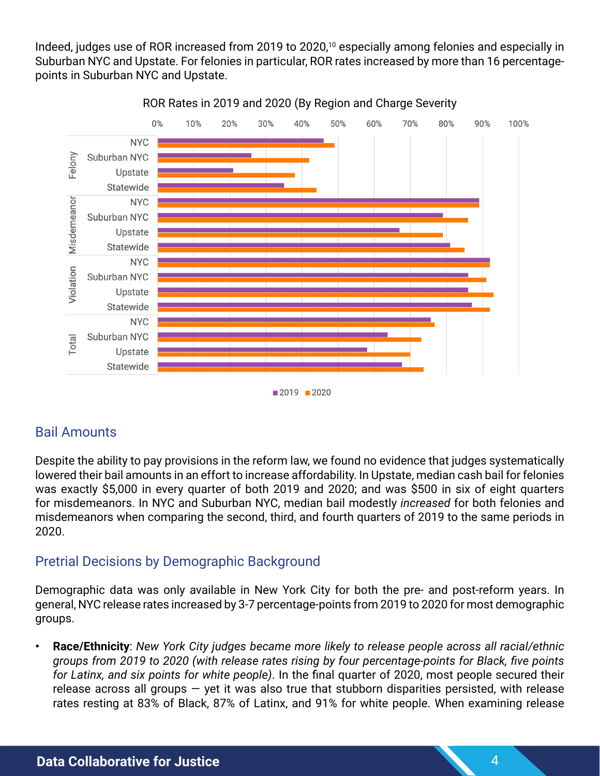Indeed, judges use of ROR increased from 2019 to 2020,<sup>10</sup> especially among felonies and especially in Suburban NYC and Upstate. For felonies in particular, ROR rates increased by more than 16 percentagepoints in Suburban NYC and Upstate.



#### ROR Rates in 2019 and 2020 (By Region and Charge Severity

# Bail Amounts

Despite the ability to pay provisions in the reform law, we found no evidence that judges systematically lowered their bail amounts in an effort to increase affordability. In Upstate, median cash bail for felonies was exactly \$5,000 in every quarter of both 2019 and 2020; and was \$500 in six of eight quarters for misdemeanors. In NYC and Suburban NYC, median bail modestly *increased* for both felonies and misdemeanors when comparing the second, third, and fourth quarters of 2019 to the same periods in 2020.

# Pretrial Decisions by Demographic Background

Demographic data was only available in New York City for both the pre- and post-reform years. In general, NYC release rates increased by 3-7 percentage-points from 2019 to 2020 for most demographic groups.

**• Race/Ethnicity**: *New York City judges became more likely to release people across all racial/ethnic groups from 2019 to 2020 (with release rates rising by four percentage-points for Black, five points for Latinx, and six points for white people)*. In the final quarter of 2020, most people secured their release across all groups  $-$  yet it was also true that stubborn disparities persisted, with release rates resting at 83% of Black, 87% of Latinx, and 91% for white people. When examining release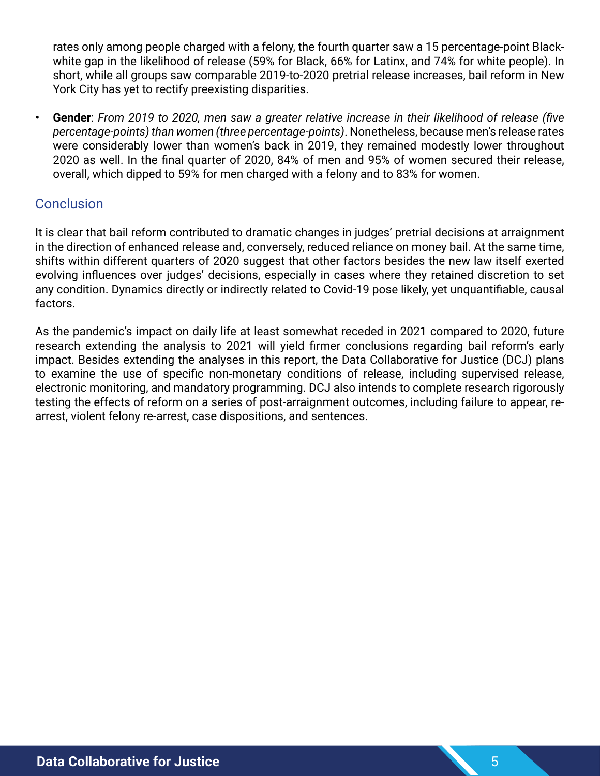rates only among people charged with a felony, the fourth quarter saw a 15 percentage-point Blackwhite gap in the likelihood of release (59% for Black, 66% for Latinx, and 74% for white people). In short, while all groups saw comparable 2019-to-2020 pretrial release increases, bail reform in New York City has yet to rectify preexisting disparities.

**• Gender**: *From 2019 to 2020, men saw a greater relative increase in their likelihood of release (five percentage-points) than women (three percentage-points)*. Nonetheless, because men's release rates were considerably lower than women's back in 2019, they remained modestly lower throughout 2020 as well. In the final quarter of 2020, 84% of men and 95% of women secured their release, overall, which dipped to 59% for men charged with a felony and to 83% for women.

### **Conclusion**

It is clear that bail reform contributed to dramatic changes in judges' pretrial decisions at arraignment in the direction of enhanced release and, conversely, reduced reliance on money bail. At the same time, shifts within different quarters of 2020 suggest that other factors besides the new law itself exerted evolving influences over judges' decisions, especially in cases where they retained discretion to set any condition. Dynamics directly or indirectly related to Covid-19 pose likely, yet unquantifiable, causal factors.

As the pandemic's impact on daily life at least somewhat receded in 2021 compared to 2020, future research extending the analysis to 2021 will yield firmer conclusions regarding bail reform's early impact. Besides extending the analyses in this report, the Data Collaborative for Justice (DCJ) plans to examine the use of specific non-monetary conditions of release, including supervised release, electronic monitoring, and mandatory programming. DCJ also intends to complete research rigorously testing the effects of reform on a series of post-arraignment outcomes, including failure to appear, rearrest, violent felony re-arrest, case dispositions, and sentences.